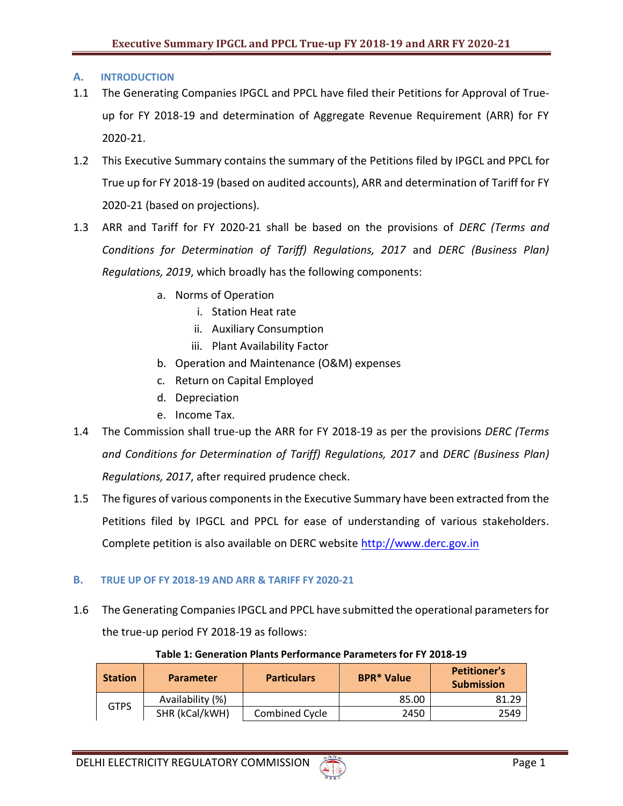# **A. INTRODUCTION**

- 1.1 The Generating Companies IPGCL and PPCL have filed their Petitions for Approval of Trueup for FY 2018-19 and determination of Aggregate Revenue Requirement (ARR) for FY 2020-21.
- 1.2 This Executive Summary contains the summary of the Petitions filed by IPGCL and PPCL for True up for FY 2018-19 (based on audited accounts), ARR and determination of Tariff for FY 2020-21 (based on projections).
- 1.3 ARR and Tariff for FY 2020-21 shall be based on the provisions of *DERC (Terms and Conditions for Determination of Tariff) Regulations, 2017* and *DERC (Business Plan) Regulations, 2019*, which broadly has the following components:
	- a. Norms of Operation
		- i. Station Heat rate
		- ii. Auxiliary Consumption
		- iii. Plant Availability Factor
	- b. Operation and Maintenance (O&M) expenses
	- c. Return on Capital Employed
	- d. Depreciation
	- e. Income Tax.
- 1.4 The Commission shall true-up the ARR for FY 2018-19 as per the provisions *DERC (Terms and Conditions for Determination of Tariff) Regulations, 2017* and *DERC (Business Plan) Regulations, 2017*, after required prudence check.
- 1.5 The figures of various components in the Executive Summary have been extracted from the Petitions filed by IPGCL and PPCL for ease of understanding of various stakeholders. Complete petition is also available on DERC website [http://www.derc.gov.in](http://www.derc.gov.in/)

# **B. TRUE UP OF FY 2018-19 AND ARR & TARIFF FY 2020-21**

1.6 The Generating Companies IPGCL and PPCL have submitted the operational parameters for the true-up period FY 2018-19 as follows:

| <b>Station</b> | <b>Parameter</b> | <b>Particulars</b> | <b>BPR*</b> Value | <b>Petitioner's</b><br><b>Submission</b> |
|----------------|------------------|--------------------|-------------------|------------------------------------------|
| GTPS           | Availability (%) |                    | 85.00             | 81.29                                    |
|                | SHR (kCal/kWH)   | Combined Cycle     | 2450              | 2549                                     |

## **Table 1: Generation Plants Performance Parameters for FY 2018-19**

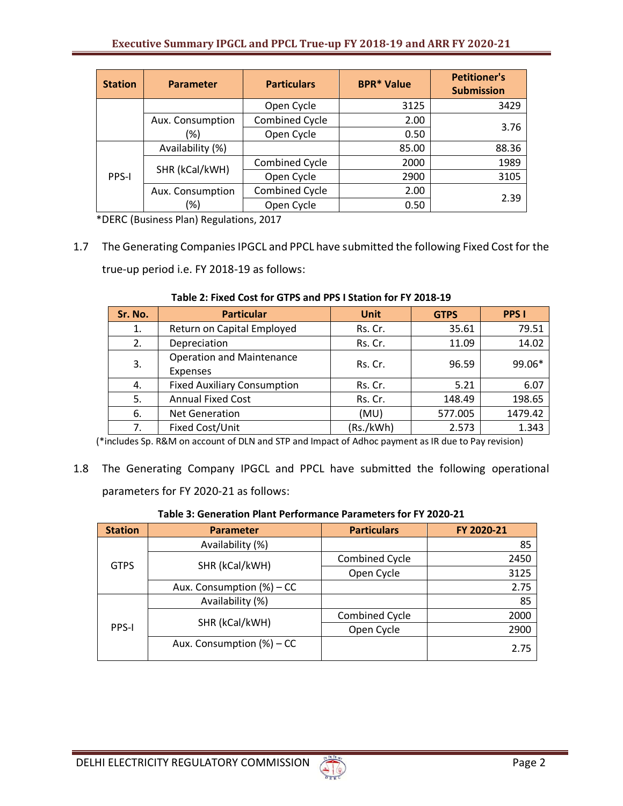| <b>Station</b> | <b>Parameter</b> | <b>Particulars</b>    | <b>BPR* Value</b> | <b>Petitioner's</b><br><b>Submission</b> |
|----------------|------------------|-----------------------|-------------------|------------------------------------------|
|                |                  | Open Cycle            | 3125              | 3429                                     |
|                | Aux. Consumption | <b>Combined Cycle</b> | 2.00              | 3.76                                     |
|                | (%)              | Open Cycle            | 0.50              |                                          |
| PPS-I          | Availability (%) |                       | 85.00             | 88.36                                    |
|                | SHR (kCal/kWH)   | <b>Combined Cycle</b> | 2000              | 1989                                     |
|                |                  | Open Cycle            | 2900              | 3105                                     |
|                | Aux. Consumption | <b>Combined Cycle</b> | 2.00              | 2.39                                     |
|                | (%)              | Open Cycle            | 0.50              |                                          |

\*DERC (Business Plan) Regulations, 2017

1.7 The Generating Companies IPGCL and PPCL have submitted the following Fixed Cost for the true-up period i.e. FY 2018-19 as follows:

| Sr. No. | <b>Particular</b>                                   | <b>Unit</b> | <b>GTPS</b> | <b>PPS I</b> |
|---------|-----------------------------------------------------|-------------|-------------|--------------|
| 1.      | Return on Capital Employed                          | Rs. Cr.     | 35.61       | 79.51        |
| 2.      | Depreciation                                        | Rs. Cr.     | 11.09       | 14.02        |
| 3.      | <b>Operation and Maintenance</b><br><b>Expenses</b> | Rs. Cr.     | 96.59       | 99.06*       |
| 4.      | <b>Fixed Auxiliary Consumption</b>                  | Rs. Cr.     | 5.21        | 6.07         |
| 5.      | <b>Annual Fixed Cost</b>                            | Rs. Cr.     | 148.49      | 198.65       |
| 6.      | <b>Net Generation</b>                               | (MU)        | 577.005     | 1479.42      |
| 7.      | Fixed Cost/Unit                                     | (Rs./kWh)   | 2.573       | 1.343        |

#### **Table 2: Fixed Cost for GTPS and PPS I Station for FY 2018-19**

(\*includes Sp. R&M on account of DLN and STP and Impact of Adhoc payment as IR due to Pay revision)

1.8 The Generating Company IPGCL and PPCL have submitted the following operational parameters for FY 2020-21 as follows:

## **Table 3: Generation Plant Performance Parameters for FY 2020-21**

| <b>Station</b> | <b>Parameter</b>             | <b>Particulars</b> | FY 2020-21 |
|----------------|------------------------------|--------------------|------------|
| <b>GTPS</b>    | Availability (%)             |                    | 85         |
|                | SHR (kCal/kWH)               | Combined Cycle     | 2450       |
|                |                              | Open Cycle         | 3125       |
|                | Aux. Consumption (%) – CC    |                    | 2.75       |
| PPS-I          | Availability (%)             |                    | 85         |
|                |                              | Combined Cycle     | 2000       |
|                | SHR (kCal/kWH)               | Open Cycle         | 2900       |
|                | Aux. Consumption $(\%)$ – CC |                    | 2.75       |